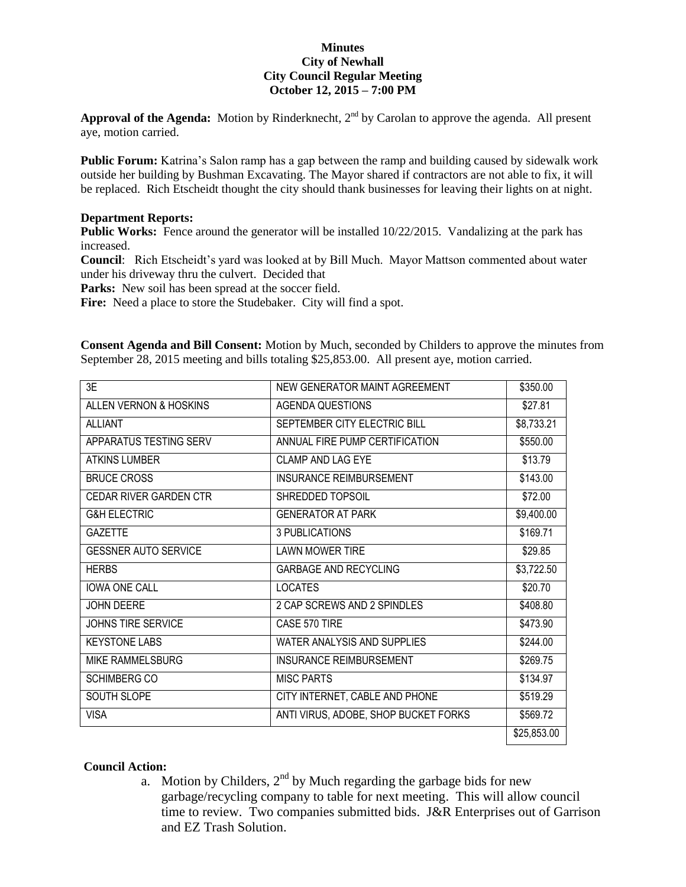## **Minutes City of Newhall City Council Regular Meeting October 12, 2015 – 7:00 PM**

Approval of the Agenda: Motion by Rinderknecht, 2<sup>nd</sup> by Carolan to approve the agenda. All present aye, motion carried.

Public Forum: Katrina's Salon ramp has a gap between the ramp and building caused by sidewalk work outside her building by Bushman Excavating. The Mayor shared if contractors are not able to fix, it will be replaced. Rich Etscheidt thought the city should thank businesses for leaving their lights on at night.

## **Department Reports:**

**Public Works:** Fence around the generator will be installed 10/22/2015.Vandalizing at the park has increased.

**Council**: Rich Etscheidt's yard was looked at by Bill Much. Mayor Mattson commented about water under his driveway thru the culvert. Decided that

Parks: New soil has been spread at the soccer field.

Fire: Need a place to store the Studebaker. City will find a spot.

**Consent Agenda and Bill Consent:** Motion by Much, seconded by Childers to approve the minutes from September 28, 2015 meeting and bills totaling \$25,853.00. All present aye, motion carried.

| 3E                            | NEW GENERATOR MAINT AGREEMENT        | \$350.00    |
|-------------------------------|--------------------------------------|-------------|
| ALLEN VERNON & HOSKINS        | <b>AGENDA QUESTIONS</b>              | \$27.81     |
| <b>ALLIANT</b>                | SEPTEMBER CITY ELECTRIC BILL         | \$8,733.21  |
| APPARATUS TESTING SERV        | ANNUAL FIRE PUMP CERTIFICATION       | \$550.00    |
| <b>ATKINS LUMBER</b>          | CLAMP AND LAG EYE                    | \$13.79     |
| <b>BRUCE CROSS</b>            | <b>INSURANCE REIMBURSEMENT</b>       | \$143.00    |
| <b>CEDAR RIVER GARDEN CTR</b> | SHREDDED TOPSOIL                     | \$72.00     |
| <b>G&amp;H ELECTRIC</b>       | <b>GENERATOR AT PARK</b>             | \$9,400.00  |
| <b>GAZETTE</b>                | 3 PUBLICATIONS                       | \$169.71    |
| <b>GESSNER AUTO SERVICE</b>   | <b>LAWN MOWER TIRE</b>               | \$29.85     |
| <b>HERBS</b>                  | <b>GARBAGE AND RECYCLING</b>         | \$3,722.50  |
| <b>IOWA ONE CALL</b>          | <b>LOCATES</b>                       | \$20.70     |
| <b>JOHN DEERE</b>             | 2 CAP SCREWS AND 2 SPINDLES          | \$408.80    |
| <b>JOHNS TIRE SERVICE</b>     | CASE 570 TIRE                        | \$473.90    |
| <b>KEYSTONE LABS</b>          | WATER ANALYSIS AND SUPPLIES          | \$244.00    |
| MIKE RAMMELSBURG              | INSURANCE REIMBURSEMENT              | \$269.75    |
| <b>SCHIMBERG CO</b>           | MISC PARTS                           | \$134.97    |
| SOUTH SLOPE                   | CITY INTERNET, CABLE AND PHONE       | \$519.29    |
| <b>VISA</b>                   | ANTI VIRUS, ADOBE, SHOP BUCKET FORKS | \$569.72    |
|                               |                                      | \$25,853.00 |

## **Council Action:**

a. Motion by Childers,  $2<sup>nd</sup>$  by Much regarding the garbage bids for new garbage/recycling company to table for next meeting. This will allow council time to review. Two companies submitted bids. J&R Enterprises out of Garrison and EZ Trash Solution.